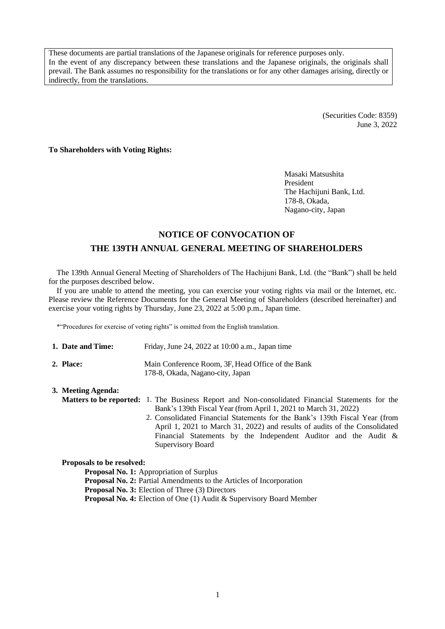These documents are partial translations of the Japanese originals for reference purposes only. In the event of any discrepancy between these translations and the Japanese originals, the originals shall prevail. The Bank assumes no responsibility for the translations or for any other damages arising, directly or indirectly, from the translations.

> (Securities Code: 8359) June 3, 2022

**To Shareholders with Voting Rights:**

Masaki Matsushita President The Hachijuni Bank, Ltd. 178-8, Okada, Nagano-city, Japan

# **NOTICE OF CONVOCATION OF THE 139TH ANNUAL GENERAL MEETING OF SHAREHOLDERS**

The 139th Annual General Meeting of Shareholders of The Hachijuni Bank, Ltd. (the "Bank") shall be held for the purposes described below.

If you are unable to attend the meeting, you can exercise your voting rights via mail or the Internet, etc. Please review the Reference Documents for the General Meeting of Shareholders (described hereinafter) and exercise your voting rights by Thursday, June 23, 2022 at 5:00 p.m., Japan time.

\*"Procedures for exercise of voting rights" is omitted from the English translation.

| 1. Date and Time: | Friday, June 24, 2022 at $10:00$ a.m., Japan time                                     |
|-------------------|---------------------------------------------------------------------------------------|
| 2. Place:         | Main Conference Room, 3F, Head Office of the Bank<br>178-8, Okada, Nagano-city, Japan |

| 3. Meeting Agenda: |                                                                                                         |  |  |  |  |  |  |
|--------------------|---------------------------------------------------------------------------------------------------------|--|--|--|--|--|--|
|                    | <b>Matters to be reported:</b> 1. The Business Report and Non-consolidated Financial Statements for the |  |  |  |  |  |  |
|                    | Bank's 139th Fiscal Year (from April 1, 2021 to March 31, 2022)                                         |  |  |  |  |  |  |
|                    | 2. Consolidated Financial Statements for the Bank's 139th Fiscal Year (from                             |  |  |  |  |  |  |
|                    | April 1, 2021 to March 31, 2022) and results of audits of the Consolidated                              |  |  |  |  |  |  |
|                    | Financial Statements by the Independent Auditor and the Audit $\&$                                      |  |  |  |  |  |  |
|                    | Supervisory Board                                                                                       |  |  |  |  |  |  |

**Proposals to be resolved:**

**Proposal No. 1:** Appropriation of Surplus **Proposal No. 2:** Partial Amendments to the Articles of Incorporation **Proposal No. 3:** Election of Three (3) Directors **Proposal No. 4:** Election of One (1) Audit & Supervisory Board Member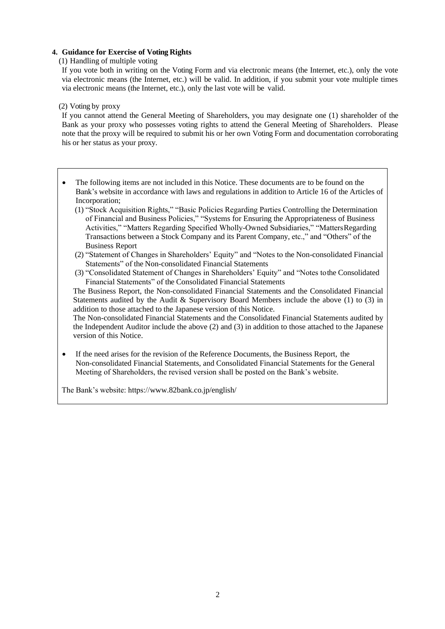## **4. Guidance for Exercise of Voting Rights**

(1) Handling of multiple voting

If you vote both in writing on the Voting Form and via electronic means (the Internet, etc.), only the vote via electronic means (the Internet, etc.) will be valid. In addition, if you submit your vote multiple times via electronic means (the Internet, etc.), only the last vote will be valid.

#### (2) Voting by proxy

If you cannot attend the General Meeting of Shareholders, you may designate one (1) shareholder of the Bank as your proxy who possesses voting rights to attend the General Meeting of Shareholders. Please note that the proxy will be required to submit his or her own Voting Form and documentation corroborating his or her status as your proxy.

- The following items are not included in this Notice. These documents are to be found on the Bank's website in accordance with laws and regulations in addition to Article 16 of the Articles of Incorporation;
	- (1) "Stock Acquisition Rights," "Basic Policies Regarding Parties Controlling the Determination of Financial and Business Policies," "Systems for Ensuring the Appropriateness of Business Activities," "Matters Regarding Specified Wholly-Owned Subsidiaries," "MattersRegarding Transactions between a Stock Company and its Parent Company, etc.," and "Others" of the Business Report
	- (2) "Statement of Changes in Shareholders' Equity" and "Notes to the Non-consolidated Financial Statements" of the Non-consolidated Financial Statements
	- (3) "Consolidated Statement of Changes in Shareholders' Equity" and "Notes tothe Consolidated Financial Statements" of the Consolidated Financial Statements

The Business Report, the Non-consolidated Financial Statements and the Consolidated Financial Statements audited by the Audit & Supervisory Board Members include the above (1) to (3) in addition to those attached to the Japanese version of this Notice.

The Non-consolidated Financial Statements and the Consolidated Financial Statements audited by the Independent Auditor include the above (2) and (3) in addition to those attached to the Japanese version of this Notice.

• If the need arises for the revision of the Reference Documents, the Business Report, the Non-consolidated Financial Statements, and Consolidated Financial Statements for the General Meeting of Shareholders, the revised version shall be posted on the Bank's website.

The Bank's website: https:/[/www.82bank.co.jp/english/](http://www.82bank.co.jp/english/)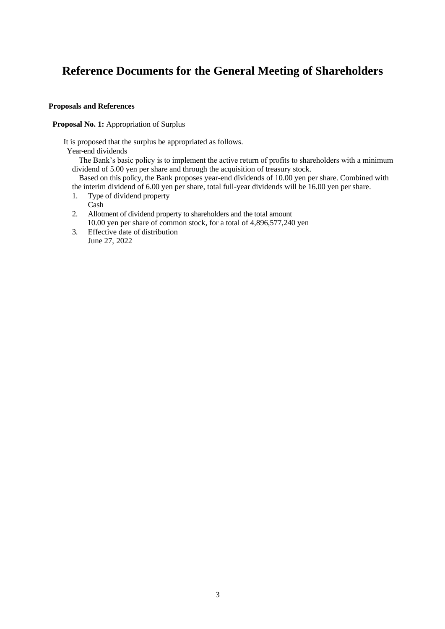# **Reference Documents for the General Meeting of Shareholders**

## **Proposals and References**

Proposal No. 1: Appropriation of Surplus

It is proposed that the surplus be appropriated as follows.

Year-end dividends

The Bank's basic policy is to implement the active return of profits to shareholders with a minimum dividend of 5.00 yen per share and through the acquisition of treasury stock.

Based on this policy, the Bank proposes year-end dividends of 10.00 yen per share. Combined with the interim dividend of 6.00 yen per share, total full-year dividends will be 16.00 yen per share.

- 1. Type of dividend property
	- Cash
- 2. Allotment of dividend property to shareholders and the total amount 10.00 yen per share of common stock, for a total of 4,896,577,240 yen
- 3. Effective date of distribution June 27, 2022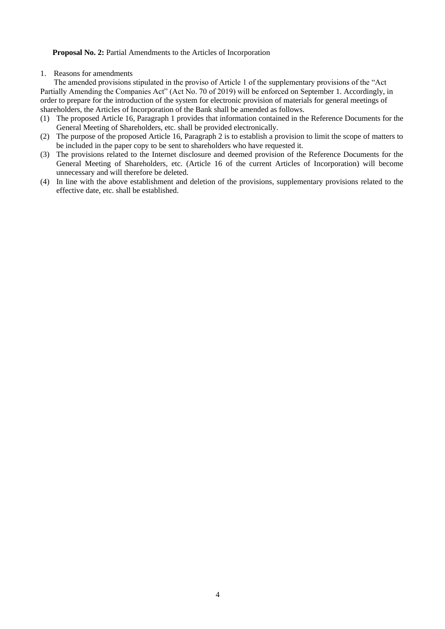#### **Proposal No. 2:** Partial Amendments to the Articles of Incorporation

#### 1. Reasons for amendments

The amended provisions stipulated in the proviso of Article 1 of the supplementary provisions of the "Act Partially Amending the Companies Act" (Act No. 70 of 2019) will be enforced on September 1. Accordingly, in order to prepare for the introduction of the system for electronic provision of materials for general meetings of shareholders, the Articles of Incorporation of the Bank shall be amended as follows.

- (1) The proposed Article 16, Paragraph 1 provides that information contained in the Reference Documents for the General Meeting of Shareholders, etc. shall be provided electronically.
- (2) The purpose of the proposed Article 16, Paragraph 2 is to establish a provision to limit the scope of matters to be included in the paper copy to be sent to shareholders who have requested it.
- (3) The provisions related to the Internet disclosure and deemed provision of the Reference Documents for the General Meeting of Shareholders, etc. (Article 16 of the current Articles of Incorporation) will become unnecessary and will therefore be deleted.
- (4) In line with the above establishment and deletion of the provisions, supplementary provisions related to the effective date, etc. shall be established.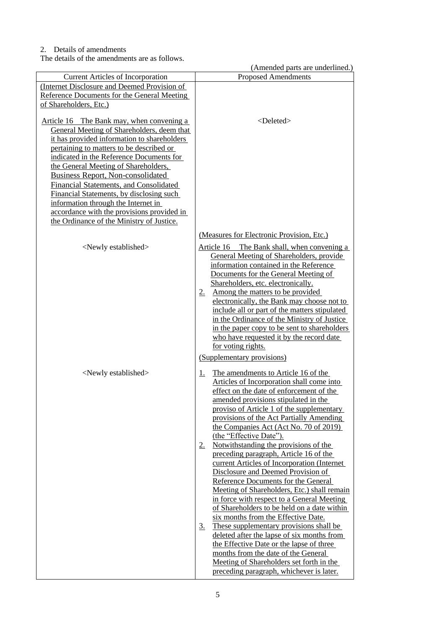## 2. Details of amendments

The details of the amendments are as follows.

(Amended parts are underlined.) Current Articles of Incorporation (Internet Disclosure and Deemed Provision of Reference Documents for the General Meeting of Shareholders, Etc.) Article 16 The Bank may, when convening a General Meeting of Shareholders, deem that it has provided information to shareholders pertaining to matters to be described or indicated in the Reference Documents for the General Meeting of Shareholders, Business Report, Non-consolidated Financial Statements, and Consolidated Financial Statements, by disclosing such information through the Internet in accordance with the provisions provided in the Ordinance of the Ministry of Justice. <Deleted> (Measures for Electronic Provision, Etc.)  $\le$ Newly established  $\ge$  Article 16 The Bank shall, when convening a General Meeting of Shareholders, provide information contained in the Reference Documents for the General Meeting of Shareholders, etc. electronically. 2. Among the matters to be provided electronically, the Bank may choose not to include all or part of the matters stipulated in the Ordinance of the Ministry of Justice in the paper copy to be sent to shareholders who have requested it by the record date for voting rights. (Supplementary provisions)  $\le$ Newly established  $\ge$  1. The amendments to Article 16 of the Articles of Incorporation shall come into effect on the date of enforcement of the amended provisions stipulated in the proviso of Article 1 of the supplementary provisions of the Act Partially Amending the Companies Act (Act No. 70 of 2019) (the "Effective Date"). 2. Notwithstanding the provisions of the preceding paragraph, Article 16 of the current Articles of Incorporation (Internet Disclosure and Deemed Provision of Reference Documents for the General Meeting of Shareholders, Etc.) shall remain in force with respect to a General Meeting of Shareholders to be held on a date within six months from the Effective Date. 3. These supplementary provisions shall be deleted after the lapse of six months from the Effective Date or the lapse of three months from the date of the General Meeting of Shareholders set forth in the preceding paragraph, whichever is later.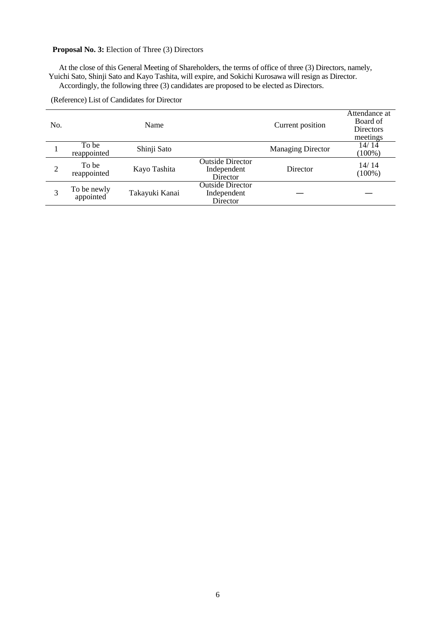# **Proposal No. 3:** Election of Three (3) Directors

At the close of this General Meeting of Shareholders, the terms of office of three (3) Directors, namely, Yuichi Sato, Shinji Sato and Kayo Tashita, will expire, and Sokichi Kurosawa will resign as Director. Accordingly, the following three (3) candidates are proposed to be elected as Directors.

| No.            |                          | Name           |                                                    | Current position         | Attendance at<br>Board of<br>Directors<br>meetings |
|----------------|--------------------------|----------------|----------------------------------------------------|--------------------------|----------------------------------------------------|
|                | To be<br>reappointed     | Shinji Sato    |                                                    | <b>Managing Director</b> | 14/14<br>$(100\%)$                                 |
| $\overline{2}$ | To be<br>reappointed     | Kayo Tashita   | <b>Outside Director</b><br>Independent<br>Director | Director                 | 14/14<br>$(100\%)$                                 |
| 3              | To be newly<br>appointed | Takayuki Kanai | <b>Outside Director</b><br>Independent<br>Director |                          |                                                    |

(Reference) List of Candidates for Director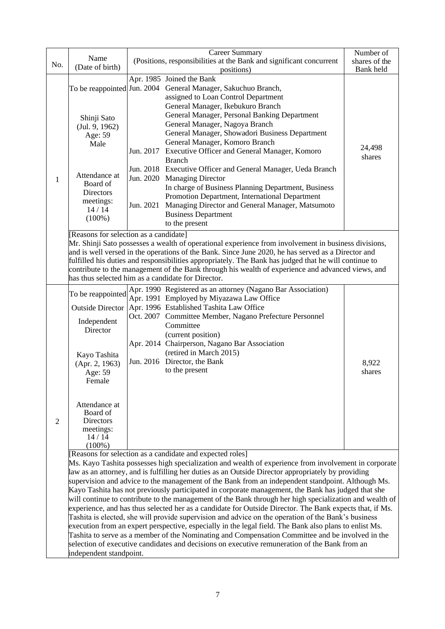|     |                                                                                                                                                                    | <b>Career Summary</b><br>Number of                                                                                                                      |                                                                                                       |        |  |  |  |  |
|-----|--------------------------------------------------------------------------------------------------------------------------------------------------------------------|---------------------------------------------------------------------------------------------------------------------------------------------------------|-------------------------------------------------------------------------------------------------------|--------|--|--|--|--|
| No. | Name                                                                                                                                                               | (Positions, responsibilities at the Bank and significant concurrent                                                                                     | shares of the                                                                                         |        |  |  |  |  |
|     | (Date of birth)                                                                                                                                                    | positions)                                                                                                                                              | Bank held                                                                                             |        |  |  |  |  |
|     |                                                                                                                                                                    |                                                                                                                                                         | Apr. 1985 Joined the Bank                                                                             |        |  |  |  |  |
|     |                                                                                                                                                                    |                                                                                                                                                         | To be reappointed Jun. 2004 General Manager, Sakuchuo Branch,                                         |        |  |  |  |  |
|     |                                                                                                                                                                    |                                                                                                                                                         | assigned to Loan Control Department                                                                   |        |  |  |  |  |
|     |                                                                                                                                                                    |                                                                                                                                                         | General Manager, Ikebukuro Branch                                                                     |        |  |  |  |  |
|     |                                                                                                                                                                    |                                                                                                                                                         | General Manager, Personal Banking Department                                                          |        |  |  |  |  |
|     | Shinji Sato                                                                                                                                                        |                                                                                                                                                         | General Manager, Nagoya Branch                                                                        |        |  |  |  |  |
|     | (Jul. 9, 1962)                                                                                                                                                     |                                                                                                                                                         |                                                                                                       |        |  |  |  |  |
|     | Age: 59                                                                                                                                                            |                                                                                                                                                         | General Manager, Showadori Business Department                                                        |        |  |  |  |  |
|     | Male                                                                                                                                                               |                                                                                                                                                         | General Manager, Komoro Branch                                                                        | 24,498 |  |  |  |  |
|     |                                                                                                                                                                    |                                                                                                                                                         | Jun. 2017 Executive Officer and General Manager, Komoro                                               | shares |  |  |  |  |
|     |                                                                                                                                                                    |                                                                                                                                                         | <b>Branch</b>                                                                                         |        |  |  |  |  |
|     | Attendance at                                                                                                                                                      |                                                                                                                                                         | Jun. 2018 Executive Officer and General Manager, Ueda Branch                                          |        |  |  |  |  |
| 1   | Board of                                                                                                                                                           |                                                                                                                                                         | Jun. 2020 Managing Director                                                                           |        |  |  |  |  |
|     | <b>Directors</b>                                                                                                                                                   |                                                                                                                                                         | In charge of Business Planning Department, Business                                                   |        |  |  |  |  |
|     | meetings:                                                                                                                                                          |                                                                                                                                                         | Promotion Department, International Department                                                        |        |  |  |  |  |
|     | 14/14                                                                                                                                                              | Jun. 2021                                                                                                                                               | Managing Director and General Manager, Matsumoto                                                      |        |  |  |  |  |
|     | $(100\%)$                                                                                                                                                          |                                                                                                                                                         | <b>Business Department</b>                                                                            |        |  |  |  |  |
|     |                                                                                                                                                                    |                                                                                                                                                         | to the present                                                                                        |        |  |  |  |  |
|     | [Reasons for selection as a candidate]                                                                                                                             |                                                                                                                                                         |                                                                                                       |        |  |  |  |  |
|     |                                                                                                                                                                    | Mr. Shinji Sato possesses a wealth of operational experience from involvement in business divisions,                                                    |                                                                                                       |        |  |  |  |  |
|     | and is well versed in the operations of the Bank. Since June 2020, he has served as a Director and                                                                 |                                                                                                                                                         |                                                                                                       |        |  |  |  |  |
|     |                                                                                                                                                                    |                                                                                                                                                         | fulfilled his duties and responsibilities appropriately. The Bank has judged that he will continue to |        |  |  |  |  |
|     |                                                                                                                                                                    |                                                                                                                                                         |                                                                                                       |        |  |  |  |  |
|     |                                                                                                                                                                    | contribute to the management of the Bank through his wealth of experience and advanced views, and<br>has thus selected him as a candidate for Director. |                                                                                                       |        |  |  |  |  |
|     |                                                                                                                                                                    |                                                                                                                                                         | Apr. 1990 Registered as an attorney (Nagano Bar Association)                                          |        |  |  |  |  |
|     | To be reappointed                                                                                                                                                  |                                                                                                                                                         | Apr. 1991 Employed by Miyazawa Law Office                                                             |        |  |  |  |  |
|     | <b>Outside Director</b>                                                                                                                                            |                                                                                                                                                         | Apr. 1996 Established Tashita Law Office                                                              |        |  |  |  |  |
|     |                                                                                                                                                                    |                                                                                                                                                         |                                                                                                       |        |  |  |  |  |
|     | Independent                                                                                                                                                        |                                                                                                                                                         | Oct. 2007 Committee Member, Nagano Prefecture Personnel                                               |        |  |  |  |  |
|     | Director                                                                                                                                                           |                                                                                                                                                         | Committee                                                                                             |        |  |  |  |  |
|     |                                                                                                                                                                    |                                                                                                                                                         | (current position)                                                                                    |        |  |  |  |  |
|     |                                                                                                                                                                    |                                                                                                                                                         | Apr. 2014 Chairperson, Nagano Bar Association                                                         |        |  |  |  |  |
|     | Kayo Tashita                                                                                                                                                       |                                                                                                                                                         | (retired in March 2015)                                                                               |        |  |  |  |  |
|     | (Apr. 2, 1963)                                                                                                                                                     |                                                                                                                                                         | Jun. 2016 Director, the Bank                                                                          | 8,922  |  |  |  |  |
|     | Age: 59                                                                                                                                                            |                                                                                                                                                         | to the present                                                                                        | shares |  |  |  |  |
|     | Female                                                                                                                                                             |                                                                                                                                                         |                                                                                                       |        |  |  |  |  |
|     |                                                                                                                                                                    |                                                                                                                                                         |                                                                                                       |        |  |  |  |  |
|     |                                                                                                                                                                    |                                                                                                                                                         |                                                                                                       |        |  |  |  |  |
|     | Attendance at                                                                                                                                                      |                                                                                                                                                         |                                                                                                       |        |  |  |  |  |
|     | Board of                                                                                                                                                           |                                                                                                                                                         |                                                                                                       |        |  |  |  |  |
| 2   | <b>Directors</b>                                                                                                                                                   |                                                                                                                                                         |                                                                                                       |        |  |  |  |  |
|     | meetings:<br>14/14                                                                                                                                                 |                                                                                                                                                         |                                                                                                       |        |  |  |  |  |
|     | $(100\%)$                                                                                                                                                          |                                                                                                                                                         |                                                                                                       |        |  |  |  |  |
|     |                                                                                                                                                                    |                                                                                                                                                         |                                                                                                       |        |  |  |  |  |
|     | [Reasons for selection as a candidate and expected roles]<br>Ms. Kayo Tashita possesses high specialization and wealth of experience from involvement in corporate |                                                                                                                                                         |                                                                                                       |        |  |  |  |  |
|     | law as an attorney, and is fulfilling her duties as an Outside Director appropriately by providing                                                                 |                                                                                                                                                         |                                                                                                       |        |  |  |  |  |
|     |                                                                                                                                                                    |                                                                                                                                                         |                                                                                                       |        |  |  |  |  |
|     | supervision and advice to the management of the Bank from an independent standpoint. Although Ms.                                                                  |                                                                                                                                                         |                                                                                                       |        |  |  |  |  |
|     | Kayo Tashita has not previously participated in corporate management, the Bank has judged that she                                                                 |                                                                                                                                                         |                                                                                                       |        |  |  |  |  |
|     | will continue to contribute to the management of the Bank through her high specialization and wealth of                                                            |                                                                                                                                                         |                                                                                                       |        |  |  |  |  |
|     | experience, and has thus selected her as a candidate for Outside Director. The Bank expects that, if Ms.                                                           |                                                                                                                                                         |                                                                                                       |        |  |  |  |  |
|     | Tashita is elected, she will provide supervision and advice on the operation of the Bank's business                                                                |                                                                                                                                                         |                                                                                                       |        |  |  |  |  |
|     | execution from an expert perspective, especially in the legal field. The Bank also plans to enlist Ms.                                                             |                                                                                                                                                         |                                                                                                       |        |  |  |  |  |
|     |                                                                                                                                                                    |                                                                                                                                                         | Tashita to serve as a member of the Nominating and Compensation Committee and be involved in the      |        |  |  |  |  |
|     |                                                                                                                                                                    |                                                                                                                                                         | selection of executive candidates and decisions on executive remuneration of the Bank from an         |        |  |  |  |  |
|     | independent standpoint.                                                                                                                                            |                                                                                                                                                         |                                                                                                       |        |  |  |  |  |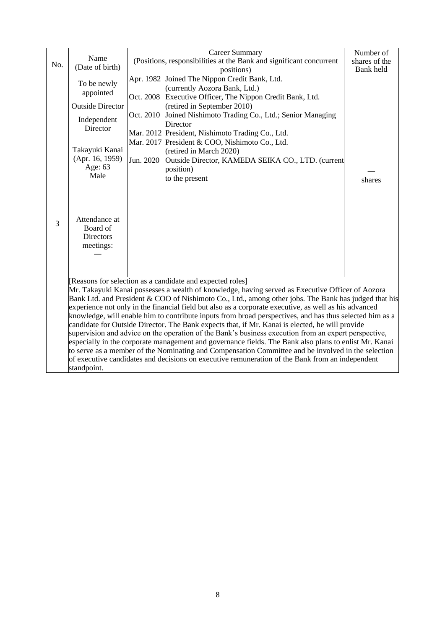| No. | Name<br>(Date of birth)                                                                                                                                                                                                                                                                                                                                                                                                                                                                                                                                                                                                                                                                                                                                                                                                                                                                                                                                                                                                               | <b>Career Summary</b><br>(Positions, responsibilities at the Bank and significant concurrent<br>positions)                                                                                                                                                                                                                                                                                                                                                                                | Number of<br>shares of the<br>Bank held |  |  |  |
|-----|---------------------------------------------------------------------------------------------------------------------------------------------------------------------------------------------------------------------------------------------------------------------------------------------------------------------------------------------------------------------------------------------------------------------------------------------------------------------------------------------------------------------------------------------------------------------------------------------------------------------------------------------------------------------------------------------------------------------------------------------------------------------------------------------------------------------------------------------------------------------------------------------------------------------------------------------------------------------------------------------------------------------------------------|-------------------------------------------------------------------------------------------------------------------------------------------------------------------------------------------------------------------------------------------------------------------------------------------------------------------------------------------------------------------------------------------------------------------------------------------------------------------------------------------|-----------------------------------------|--|--|--|
| 3   | To be newly<br>appointed<br><b>Outside Director</b><br>Independent<br>Director<br>Takayuki Kanai<br>(Apr. 16, 1959)<br>Age: 63<br>Male<br>Attendance at<br>Board of<br>Directors<br>meetings:                                                                                                                                                                                                                                                                                                                                                                                                                                                                                                                                                                                                                                                                                                                                                                                                                                         | Apr. 1982 Joined The Nippon Credit Bank, Ltd.<br>(currently Aozora Bank, Ltd.)<br>Oct. 2008 Executive Officer, The Nippon Credit Bank, Ltd.<br>(retired in September 2010)<br>Oct. 2010 Joined Nishimoto Trading Co., Ltd.; Senior Managing<br>Director<br>Mar. 2012 President, Nishimoto Trading Co., Ltd.<br>Mar. 2017 President & COO, Nishimoto Co., Ltd.<br>(retired in March 2020)<br>Jun. 2020<br>Outside Director, KAMEDA SEIKA CO., LTD. (current<br>position)<br>to the present | shares                                  |  |  |  |
|     | [Reasons for selection as a candidate and expected roles]<br>Mr. Takayuki Kanai possesses a wealth of knowledge, having served as Executive Officer of Aozora<br>Bank Ltd. and President & COO of Nishimoto Co., Ltd., among other jobs. The Bank has judged that his<br>experience not only in the financial field but also as a corporate executive, as well as his advanced<br>knowledge, will enable him to contribute inputs from broad perspectives, and has thus selected him as a<br>candidate for Outside Director. The Bank expects that, if Mr. Kanai is elected, he will provide<br>supervision and advice on the operation of the Bank's business execution from an expert perspective,<br>especially in the corporate management and governance fields. The Bank also plans to enlist Mr. Kanai<br>to serve as a member of the Nominating and Compensation Committee and be involved in the selection<br>of executive candidates and decisions on executive remuneration of the Bank from an independent<br>standpoint. |                                                                                                                                                                                                                                                                                                                                                                                                                                                                                           |                                         |  |  |  |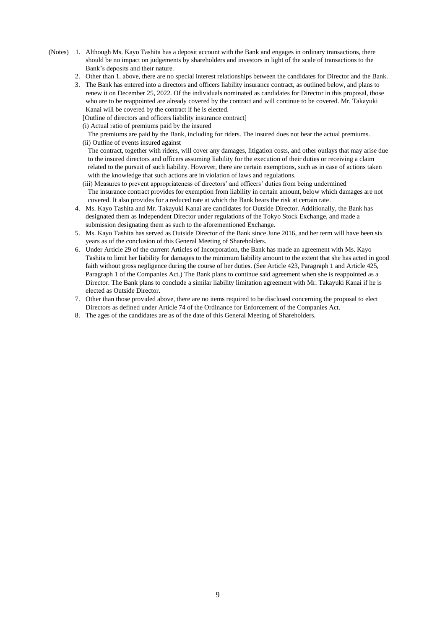- (Notes) 1. Although Ms. Kayo Tashita has a deposit account with the Bank and engages in ordinary transactions, there should be no impact on judgements by shareholders and investors in light of the scale of transactions to the Bank's deposits and their nature.
	- 2. Other than 1. above, there are no special interest relationships between the candidates for Director and the Bank.
	- 3. The Bank has entered into a directors and officers liability insurance contract, as outlined below, and plans to renew it on December 25, 2022. Of the individuals nominated as candidates for Director in this proposal, those who are to be reappointed are already covered by the contract and will continue to be covered. Mr. Takayuki Kanai will be covered by the contract if he is elected.
		- [Outline of directors and officers liability insurance contract]
		- (i) Actual ratio of premiums paid by the insured

The premiums are paid by the Bank, including for riders. The insured does not bear the actual premiums. (ii) Outline of events insured against

The contract, together with riders, will cover any damages, litigation costs, and other outlays that may arise due to the insured directors and officers assuming liability for the execution of their duties or receiving a claim related to the pursuit of such liability. However, there are certain exemptions, such as in case of actions taken with the knowledge that such actions are in violation of laws and regulations.

- (iii) Measures to prevent appropriateness of directors' and officers' duties from being undermined The insurance contract provides for exemption from liability in certain amount, below which damages are not covered. It also provides for a reduced rate at which the Bank bears the risk at certain rate.
- 4. Ms. Kayo Tashita and Mr. Takayuki Kanai are candidates for Outside Director. Additionally, the Bank has designated them as Independent Director under regulations of the Tokyo Stock Exchange, and made a submission designating them as such to the aforementioned Exchange.
- 5. Ms. Kayo Tashita has served as Outside Director of the Bank since June 2016, and her term will have been six years as of the conclusion of this General Meeting of Shareholders.
- 6. Under Article 29 of the current Articles of Incorporation, the Bank has made an agreement with Ms. Kayo Tashita to limit her liability for damages to the minimum liability amount to the extent that she has acted in good faith without gross negligence during the course of her duties. (See Article 423, Paragraph 1 and Article 425, Paragraph 1 of the Companies Act.) The Bank plans to continue said agreement when she is reappointed as a Director. The Bank plans to conclude a similar liability limitation agreement with Mr. Takayuki Kanai if he is elected as Outside Director.
- 7. Other than those provided above, there are no items required to be disclosed concerning the proposal to elect Directors as defined under Article 74 of the Ordinance for Enforcement of the Companies Act.
- 8. The ages of the candidates are as of the date of this General Meeting of Shareholders.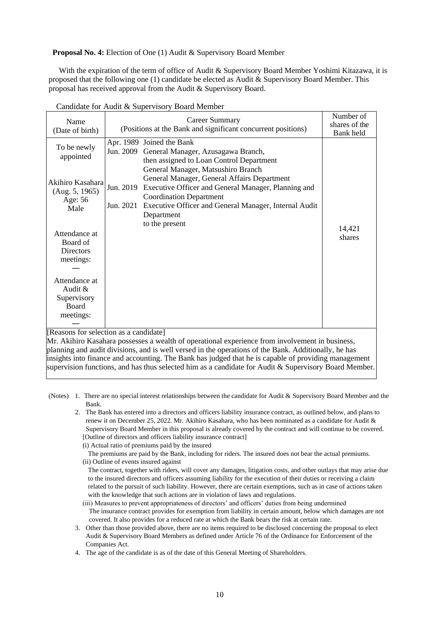**Proposal No. 4:** Election of One (1) Audit & Supervisory Board Member

With the expiration of the term of office of Audit & Supervisory Board Member Yoshimi Kitazawa, it is proposed that the following one (1) candidate be elected as Audit & Supervisory Board Member. This proposal has received approval from the Audit & Supervisory Board.

| Name<br>(Date of birth)                                                                                                                         | (Positions at the Bank and significant concurrent positions)                                                                                                                                                                                                                                                                                                                                                              | Number of<br>shares of the<br>Bank held |                  |
|-------------------------------------------------------------------------------------------------------------------------------------------------|---------------------------------------------------------------------------------------------------------------------------------------------------------------------------------------------------------------------------------------------------------------------------------------------------------------------------------------------------------------------------------------------------------------------------|-----------------------------------------|------------------|
| To be newly<br>appointed<br>Akihiro Kasahara<br>(Aug. 5, 1965)<br>Age: 56<br>Male<br>Attendance at                                              | Apr. 1989 Joined the Bank<br>Jun. 2009<br>General Manager, Azusagawa Branch,<br>then assigned to Loan Control Department<br>General Manager, Matsushiro Branch<br>General Manager, General Affairs Department<br>Executive Officer and General Manager, Planning and<br>Jun. 2019<br><b>Coordination Department</b><br>Executive Officer and General Manager, Internal Audit<br>Jun. 2021<br>Department<br>to the present |                                         | 14,421<br>shares |
| Board of<br>Directors<br>meetings:<br>Attendance at<br>Audit $\&$<br>Supervisory<br>Board<br>meetings:<br>Descons for selection as a condidatel |                                                                                                                                                                                                                                                                                                                                                                                                                           |                                         |                  |

Candidate for Audit & Supervisory Board Member

[Reasons for selection as a candidate]

Mr. Akihiro Kasahara possesses a wealth of operational experience from involvement in business, planning and audit divisions, and is well versed in the operations of the Bank. Additionally, he has insights into finance and accounting. The Bank has judged that he is capable of providing management supervision functions, and has thus selected him as a candidate for Audit & Supervisory Board Member.

(Notes) 1. There are no special interest relationships between the candidate for Audit & Supervisory Board Member and the Bank.

2. The Bank has entered into a directors and officers liability insurance contract, as outlined below, and plans to renew it on December 25, 2022. Mr. Akihiro Kasahara, who has been nominated as a candidate for Audit & Supervisory Board Member in this proposal is already covered by the contract and will continue to be covered. [Outline of directors and officers liability insurance contract]

(i) Actual ratio of premiums paid by the insured

The premiums are paid by the Bank, including for riders. The insured does not bear the actual premiums.

(ii) Outline of events insured against

The contract, together with riders, will cover any damages, litigation costs, and other outlays that may arise due to the insured directors and officers assuming liability for the execution of their duties or receiving a claim related to the pursuit of such liability. However, there are certain exemptions, such as in case of actions taken with the knowledge that such actions are in violation of laws and regulations.

- (iii) Measures to prevent appropriateness of directors' and officers' duties from being undermined The insurance contract provides for exemption from liability in certain amount, below which damages are not covered. It also provides for a reduced rate at which the Bank bears the risk at certain rate.
- 3. Other than those provided above, there are no items required to be disclosed concerning the proposal to elect Audit & Supervisory Board Members as defined under Article 76 of the Ordinance for Enforcement of the Companies Act.

4. The age of the candidate is as of the date of this General Meeting of Shareholders.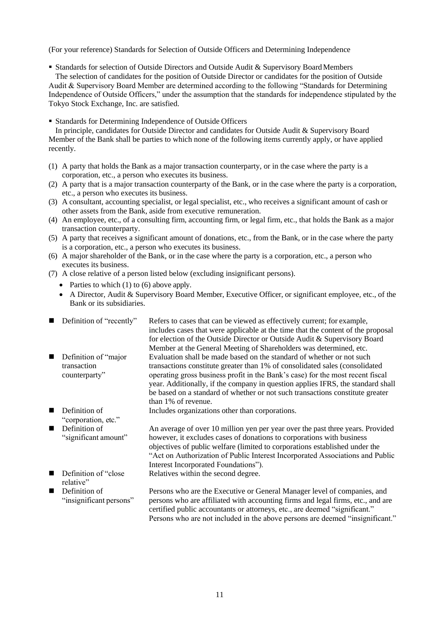(For your reference) Standards for Selection of Outside Officers and Determining Independence

- Standards for selection of Outside Directors and Outside Audit & Supervisory Board Members The selection of candidates for the position of Outside Director or candidates for the position of Outside Audit & Supervisory Board Member are determined according to the following "Standards for Determining Independence of Outside Officers," under the assumption that the standards for independence stipulated by the Tokyo Stock Exchange, Inc. are satisfied.
- Standards for Determining Independence of Outside Officers

In principle, candidates for Outside Director and candidates for Outside Audit & Supervisory Board Member of the Bank shall be parties to which none of the following items currently apply, or have applied recently.

- (1) A party that holds the Bank as a major transaction counterparty, or in the case where the party is a corporation, etc., a person who executes its business.
- (2) A party that is a major transaction counterparty of the Bank, or in the case where the party is a corporation, etc., a person who executes its business.
- (3) A consultant, accounting specialist, or legal specialist, etc., who receives a significant amount of cash or other assets from the Bank, aside from executive remuneration.
- (4) An employee, etc., of a consulting firm, accounting firm, or legal firm, etc., that holds the Bank as a major transaction counterparty.
- (5) A party that receives a significant amount of donations, etc., from the Bank, or in the case where the party is a corporation, etc., a person who executes its business.
- (6) A major shareholder of the Bank, or in the case where the party is a corporation, etc., a person who executes its business.
- (7) A close relative of a person listed below (excluding insignificant persons).
	- Parties to which  $(1)$  to  $(6)$  above apply.
	- A Director, Audit & Supervisory Board Member, Executive Officer, or significant employee, etc., of the Bank or its subsidiaries.

| Definition of "recently"                              | Refers to cases that can be viewed as effectively current; for example,<br>includes cases that were applicable at the time that the content of the proposal<br>for election of the Outside Director or Outside Audit & Supervisory Board                                                                                                                                                                                                                                                                |
|-------------------------------------------------------|---------------------------------------------------------------------------------------------------------------------------------------------------------------------------------------------------------------------------------------------------------------------------------------------------------------------------------------------------------------------------------------------------------------------------------------------------------------------------------------------------------|
| Definition of "major"<br>transaction<br>counterparty" | Member at the General Meeting of Shareholders was determined, etc.<br>Evaluation shall be made based on the standard of whether or not such<br>transactions constitute greater than 1% of consolidated sales (consolidated<br>operating gross business profit in the Bank's case) for the most recent fiscal<br>year. Additionally, if the company in question applies IFRS, the standard shall<br>be based on a standard of whether or not such transactions constitute greater<br>than 1% of revenue. |
| Definition of                                         | Includes organizations other than corporations.                                                                                                                                                                                                                                                                                                                                                                                                                                                         |
| "corporation, etc."                                   |                                                                                                                                                                                                                                                                                                                                                                                                                                                                                                         |
| Definition of<br>"significant amount"                 | An average of over 10 million yen per year over the past three years. Provided<br>however, it excludes cases of donations to corporations with business<br>objectives of public welfare (limited to corporations established under the<br>"Act on Authorization of Public Interest Incorporated Associations and Public<br>Interest Incorporated Foundations").                                                                                                                                         |
| Definition of "close"<br>relative"                    | Relatives within the second degree.                                                                                                                                                                                                                                                                                                                                                                                                                                                                     |
| Definition of<br>"insignificant persons"              | Persons who are the Executive or General Manager level of companies, and<br>persons who are affiliated with accounting firms and legal firms, etc., and are                                                                                                                                                                                                                                                                                                                                             |

certified public accountants or attorneys, etc., are deemed "significant." Persons who are not included in the above persons are deemed "insignificant."